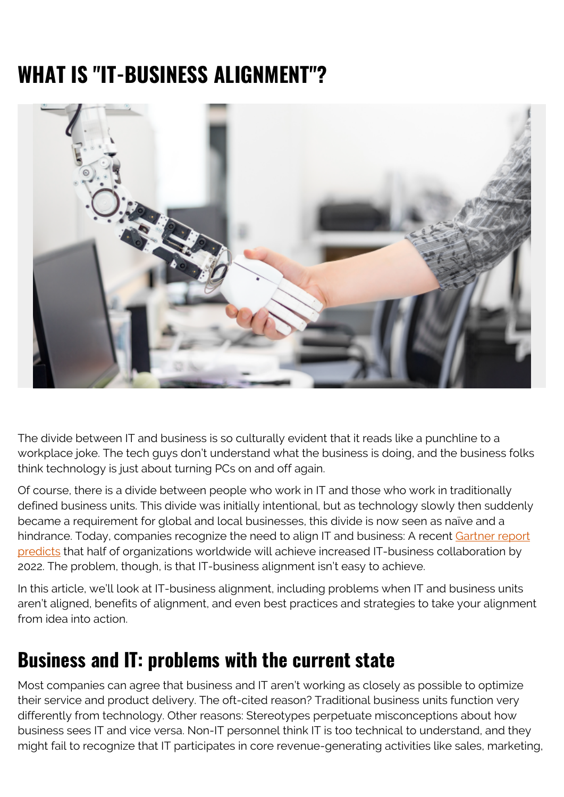# **WHAT IS "IT-BUSINESS ALIGNMENT"?**



The divide between IT and business is so culturally evident that it reads like a punchline to a workplace joke. The tech guys don't understand what the business is doing, and the business folks think technology is just about turning PCs on and off again.

Of course, there is a divide between people who work in IT and those who work in traditionally defined business units. This divide was initially intentional, but as technology slowly then suddenly became a requirement for global and local businesses, this divide is now seen as naïve and a hindrance. Today, companies recognize the need to align IT and business: A recent [Gartner report](https://www.gartner.com/en/newsroom/press-releases/2020-01-15-gartner-predicts-50--of-organizations-will-experience) [predicts](https://www.gartner.com/en/newsroom/press-releases/2020-01-15-gartner-predicts-50--of-organizations-will-experience) that half of organizations worldwide will achieve increased IT-business collaboration by 2022. The problem, though, is that IT-business alignment isn't easy to achieve.

In this article, we'll look at IT-business alignment, including problems when IT and business units aren't aligned, benefits of alignment, and even best practices and strategies to take your alignment from idea into action.

#### **Business and IT: problems with the current state**

Most companies can agree that business and IT aren't working as closely as possible to optimize their service and product delivery. The oft-cited reason? Traditional business units function very differently from technology. Other reasons: Stereotypes perpetuate misconceptions about how business sees IT and vice versa. Non-IT personnel think IT is too technical to understand, and they might fail to recognize that IT participates in core revenue-generating activities like sales, marketing,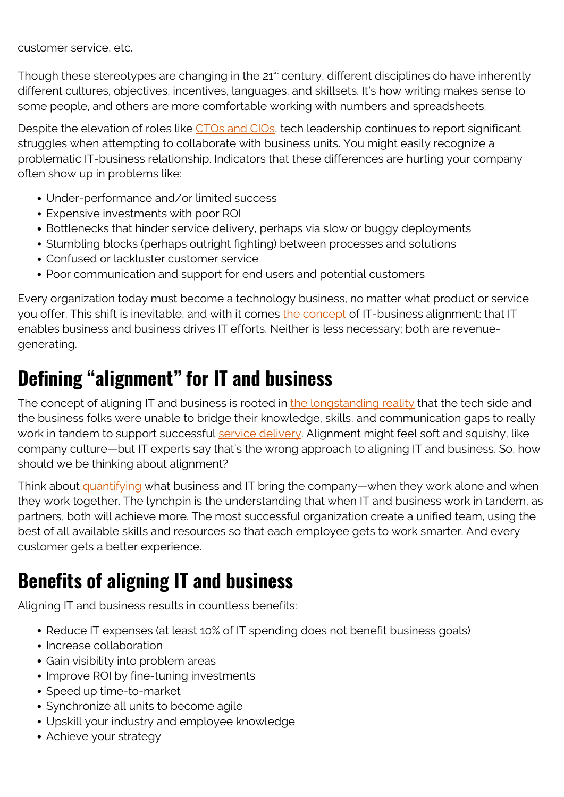customer service, etc.

Though these stereotypes are changing in the  $21<sup>st</sup>$  century, different disciplines do have inherently different cultures, objectives, incentives, languages, and skillsets. It's how writing makes sense to some people, and others are more comfortable working with numbers and spreadsheets.

Despite the elevation of roles like [CTOs and CIOs](https://www.cio.com/article/3268015/state-of-the-cio-2018-it-business-alignment-finally-gets-real.html), tech leadership continues to report significant struggles when attempting to collaborate with business units. You might easily recognize a problematic IT-business relationship. Indicators that these differences are hurting your company often show up in problems like:

- Under-performance and/or limited success
- Expensive investments with poor ROI
- Bottlenecks that hinder service delivery, perhaps via slow or buggy deployments
- Stumbling blocks (perhaps outright fighting) between processes and solutions
- Confused or lackluster customer service
- Poor communication and support for end users and potential customers

Every organization today must become a technology business, no matter what product or service you offer. This shift is inevitable, and with it comes [the concept](https://www.signavio.com/post/importance-of-business-and-it-alignment/) of IT-business alignment: that IT enables business and business drives IT efforts. Neither is less necessary; both are revenuegenerating.

#### **Defining "alignment" for IT and business**

The concept of aligning IT and business is rooted in [the longstanding reality](https://en.wikipedia.org/wiki/Business-IT_alignment) that the tech side and the business folks were unable to bridge their knowledge, skills, and communication gaps to really work in tandem to support successful [service delivery](https://blogs.bmc.com/blogs/itil-service-delivery/). Alignment might feel soft and squishy, like company culture—but IT experts say that's the wrong approach to aligning IT and business. So, how should we be thinking about alignment?

Think about [quantifying](https://www.hellosign.com/blog/information-technology-strategy-frameworks-planning-for-the-future) what business and IT bring the company—when they work alone and when they work together. The lynchpin is the understanding that when IT and business work in tandem, as partners, both will achieve more. The most successful organization create a unified team, using the best of all available skills and resources so that each employee gets to work smarter. And every customer gets a better experience.

## **Benefits of aligning IT and business**

Aligning IT and business results in countless benefits:

- Reduce IT expenses (at least 10% of IT spending does not benefit business goals)
- Increase collaboration
- Gain visibility into problem areas
- Improve ROI by fine-tuning investments
- Speed up time-to-market
- Synchronize all units to become agile
- Upskill your industry and employee knowledge
- Achieve your strategy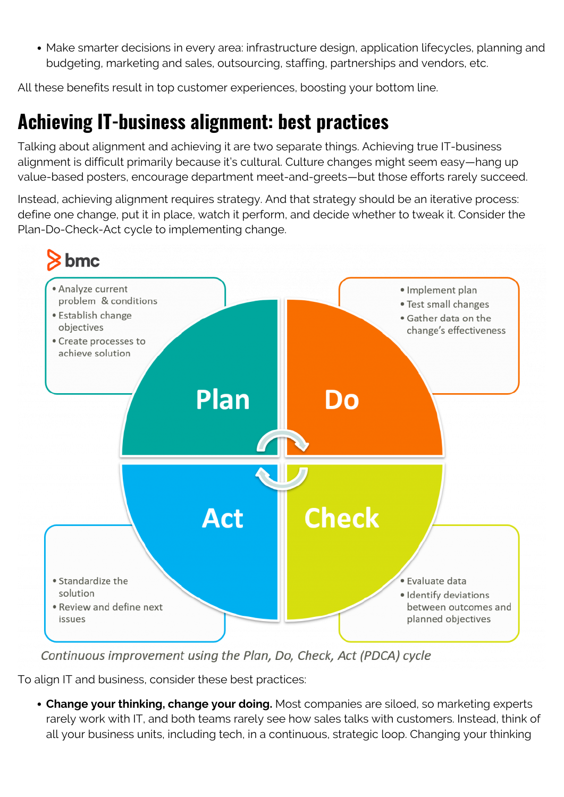Make smarter decisions in every area: infrastructure design, application lifecycles, planning and budgeting, marketing and sales, outsourcing, staffing, partnerships and vendors, etc.

All these benefits result in top customer experiences, boosting your bottom line.

#### **Achieving IT-business alignment: best practices**

Talking about alignment and achieving it are two separate things. Achieving true IT-business alignment is difficult primarily because it's cultural. Culture changes might seem easy—hang up value-based posters, encourage department meet-and-greets—but those efforts rarely succeed.

Instead, achieving alignment requires strategy. And that strategy should be an iterative process: define one change, put it in place, watch it perform, and decide whether to tweak it. Consider the Plan-Do-Check-Act cycle to implementing change.



Continuous improvement using the Plan, Do, Check, Act (PDCA) cycle

To align IT and business, consider these best practices:

**Change your thinking, change your doing.** Most companies are siloed, so marketing experts rarely work with IT, and both teams rarely see how sales talks with customers. Instead, think of all your business units, including tech, in a continuous, strategic loop. Changing your thinking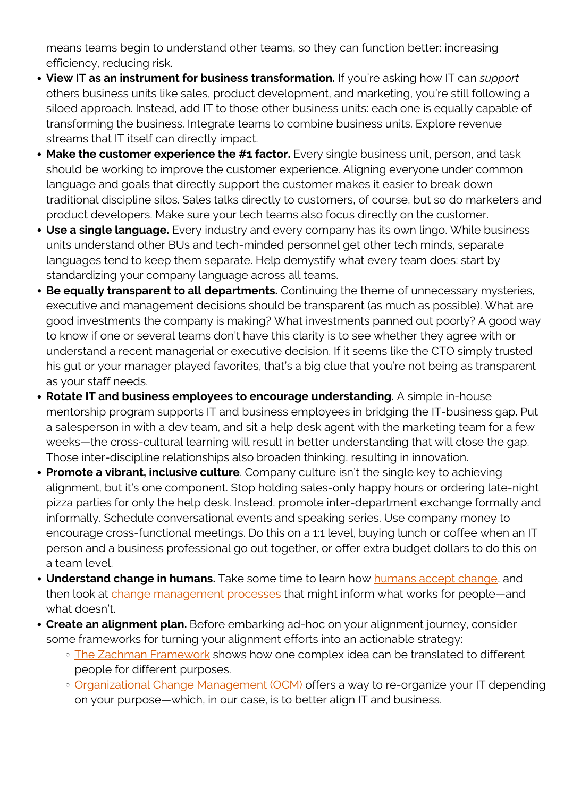means teams begin to understand other teams, so they can function better: increasing efficiency, reducing risk.

- **View IT as an instrument for business transformation.** If you're asking how IT can *support* others business units like sales, product development, and marketing, you're still following a siloed approach. Instead, add IT to those other business units: each one is equally capable of transforming the business. Integrate teams to combine business units. Explore revenue streams that IT itself can directly impact.
- **Make the customer experience the #1 factor.** Every single business unit, person, and task should be working to improve the customer experience. Aligning everyone under common language and goals that directly support the customer makes it easier to break down traditional discipline silos. Sales talks directly to customers, of course, but so do marketers and product developers. Make sure your tech teams also focus directly on the customer.
- **Use a single language.** Every industry and every company has its own lingo. While business units understand other BUs and tech-minded personnel get other tech minds, separate languages tend to keep them separate. Help demystify what every team does: start by standardizing your company language across all teams.
- **Be equally transparent to all departments.** Continuing the theme of unnecessary mysteries, executive and management decisions should be transparent (as much as possible). What are good investments the company is making? What investments panned out poorly? A good way to know if one or several teams don't have this clarity is to see whether they agree with or understand a recent managerial or executive decision. If it seems like the CTO simply trusted his gut or your manager played favorites, that's a big clue that you're not being as transparent as your staff needs.
- **Rotate IT and business employees to encourage understanding.** A simple in-house mentorship program supports IT and business employees in bridging the IT-business gap. Put a salesperson in with a dev team, and sit a help desk agent with the marketing team for a few weeks—the cross-cultural learning will result in better understanding that will close the gap. Those inter-discipline relationships also broaden thinking, resulting in innovation.
- **Promote a vibrant, inclusive culture**. Company culture isn't the single key to achieving alignment, but it's one component. Stop holding sales-only happy hours or ordering late-night pizza parties for only the help desk. Instead, promote inter-department exchange formally and informally. Schedule conversational events and speaking series. Use company money to encourage cross-functional meetings. Do this on a 1:1 level, buying lunch or coffee when an IT person and a business professional go out together, or offer extra budget dollars to do this on a team level.
- **Understand change in humans.** Take some time to learn how [humans accept change](https://blogs.bmc.com/blogs/lewin-three-stage-model-change/), and then look at [change management processes](https://blogs.bmc.com/blogs/itil-change-enablement/) that might inform what works for people—and what doesn't.
- **Create an alignment plan.** Before embarking ad-hoc on your alignment journey, consider some frameworks for turning your alignment efforts into an actionable strategy:
	- o [The Zachman Framework](https://blogs.bmc.com/blogs/zachman-framework/) shows how one complex idea can be translated to different people for different purposes.
	- o [Organizational Change Management \(OCM\)](https://blogs.bmc.com/blogs/organizational-change-management/) offers a way to re-organize your IT depending on your purpose—which, in our case, is to better align IT and business.